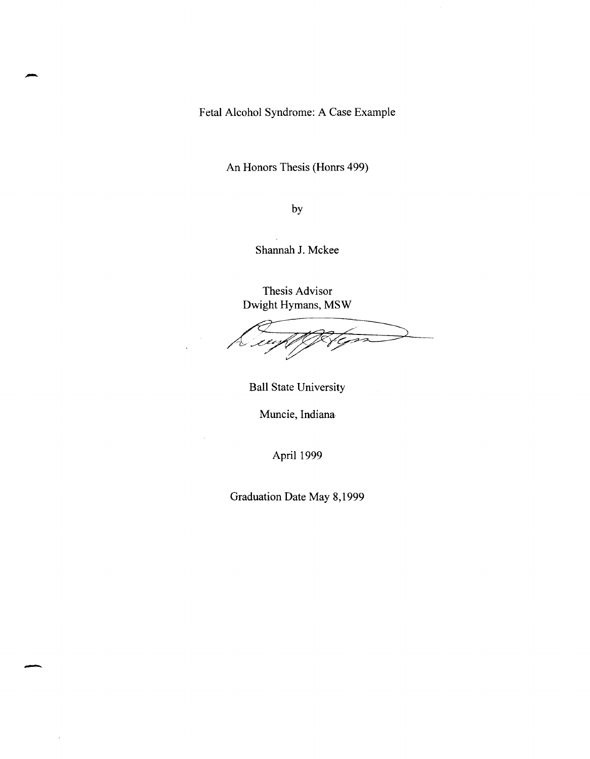Fetal Alcohol Syndrome: A Case Example

-

-

An Honors Thesis (Honrs 499)

by

Shannah J. Mckee

Thesis Advisor Dwight Hymans, MSW

ورور

Ball State University

Muncie, Indiana

April 1999

Graduation Date May 8,1999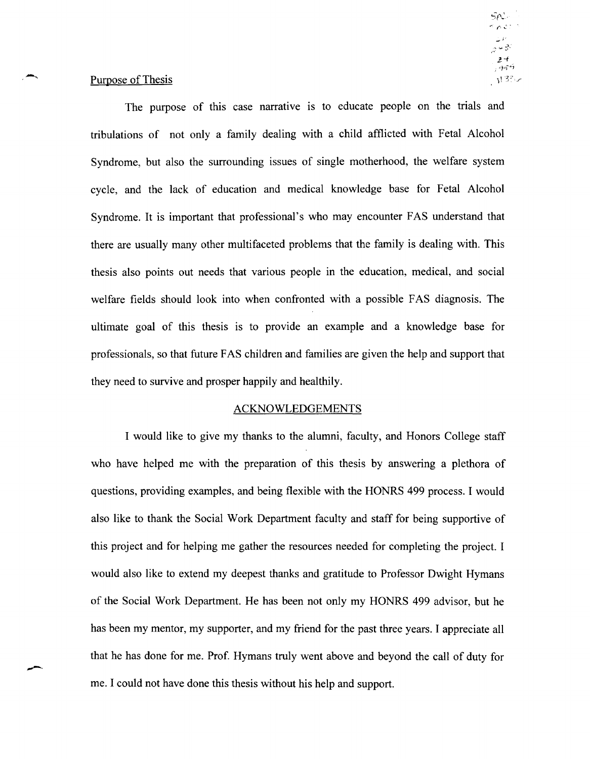## Purpose of Thesis

The purpose of this case narrative is to educate people on the trials and tribulations of not only a family dealing with a child afflicted with Fetal Alcohol Syndrome, but also the surrounding issues of single motherhood, the welfare system cycle, and the lack of education and medical knowledge base for Fetal Alcohol Syndrome. It is important that professional's who may encounter FAS understand that there are usually many other multifaceted problems that the family is dealing with. This thesis also points out needs that various people in the education, medical, and social welfare fields should look into when confronted with a possible FAS diagnosis. The ultimate goal of this thesis is to provide an example and a knowledge base for professionals, so that future F AS children and families are given the help and support that they need to survive and prosper happily and healthily.

## ACKNOWLEDGEMENTS

I would like to give my thanks to the alumni, faculty, and Honors College staff who have helped me with the preparation of this thesis by answering a plethora of questions, providing examples, and being flexible with the HONRS 499 process. I would also like to thank the Social Work Department facuity and staff for being supportive of this project and for helping me gather the resources needed for completing the project. I would also like to extend my deepest thanks and gratitude to Professor Dwight Hymans of the Social Work Department. He has been not only my HONRS 499 advisor, but he has been my mentor, my supporter, and my friend for the past three years. I appreciate all that he has done for me. Prof. Hymans truly went above and beyond the call of duty for me. I could not have done this thesis without his help and support.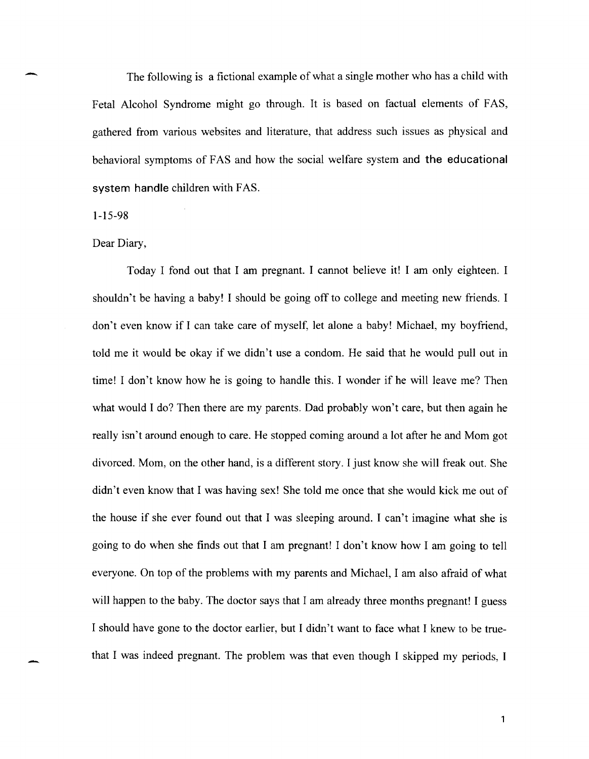The following is a fictional example of what a single mother who has a child with Fetal Alcohol Syndrome might go through. It is based on factual elements of FAS, gathered from various websites and literature, that address such issues as physical and behavioral symptoms of FAS and how the social welfare system and the educational system handle children with FAS.

#### 1-15-98

-

-

## Dear Diary,

Today I fond out that I am pregnant. I cannot believe it! I am only eighteen. I shouldn't be having a baby! I should be going off to college and meeting new friends. I don't even know if I can take care of myself, let alone a baby! Michael, my boyfriend, told me it would be okay if we didn't use a condom. He said that he would pull out in time! I don't know how he is going to handle this. I wonder if he will leave me? Then what would I do? Then there are my parents. Dad probably won't care, but then again he really isn't around enough to care. He stopped coming around a lot after he and Mom got divorced. Mom, on the other hand, is a different story. I just know she will freak out. She didn't even know that I was having sex! She told me once that she would kick me out of the house if she ever found out that I was sleeping around. I can't imagine what she is going to do when she finds out that I am pregnant! I don't know how I am going to tell everyone. On top of the problems with my parents and Michael, I am also afraid of what will happen to the baby. The doctor says that I am already three months pregnant! I guess I should have gone to the doctor earlier, but I didn't want to face what I knew to be truethat I was indeed pregnant. The problem was that even though I skipped my periods, I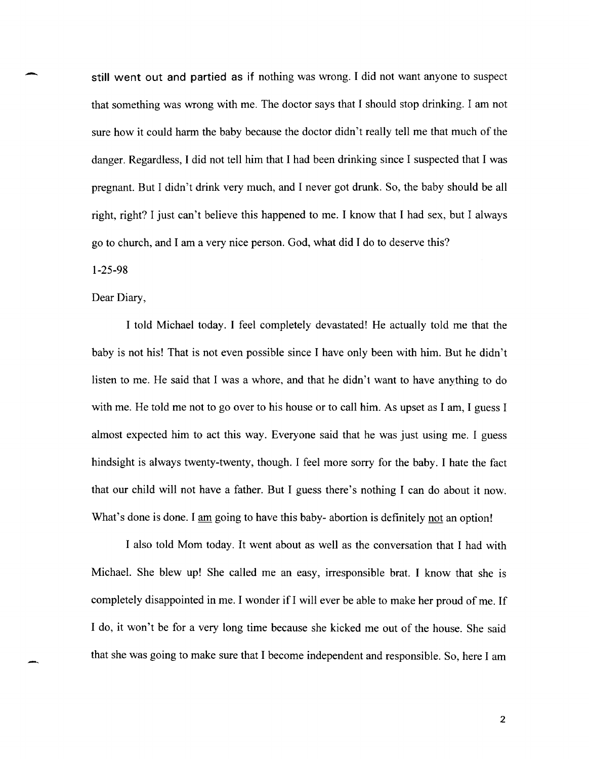still went out and partied as if nothing was wrong. I did not want anyone to suspect that something was wrong with me. The doctor says that I should stop drinking. I am not sure how it could harm the baby because the doctor didn't really tell me that much of the danger. Regardless, I did not tell him that I had been drinking since I suspected that I was pregnant. But I didn't drink very much, and I never got drunk. So, the baby should be all right, right? I just can't believe this happened to me. I know that I had sex, but I always go to church, and I am a very nice person. God, what did I do to deserve this?

## 1-25-98

## Dear Diary,

I told Michael today. I feel completely devastated! He actually told me that the baby is not his! That is not even possible since I have only been with him. But he didn't listen to me. He said that I was a whore, and that he didn't want to have anything to do with me. He told me not to go over to his house or to call him. As upset as I am, I guess I almost expected him to act this way. Everyone said that he was just using me. I guess hindsight is always twenty-twenty, though. I feel more sorry for the baby. I hate the fact that our child will not have a father. But I guess there's nothing I can do about it now. What's done is done. I am going to have this baby-abortion is definitely not an option!

I also told Mom today. It went about as well as the conversation that I had with Michael. She blew up! She called me an easy, irresponsible brat. I know that she is completely disappointed in me. I wonder if I will ever be able to make her proud of me. If I do, it won't be for a very long time because she kicked me out of the house. She said that she was going to make sure that I become independent and responsible. So, here I am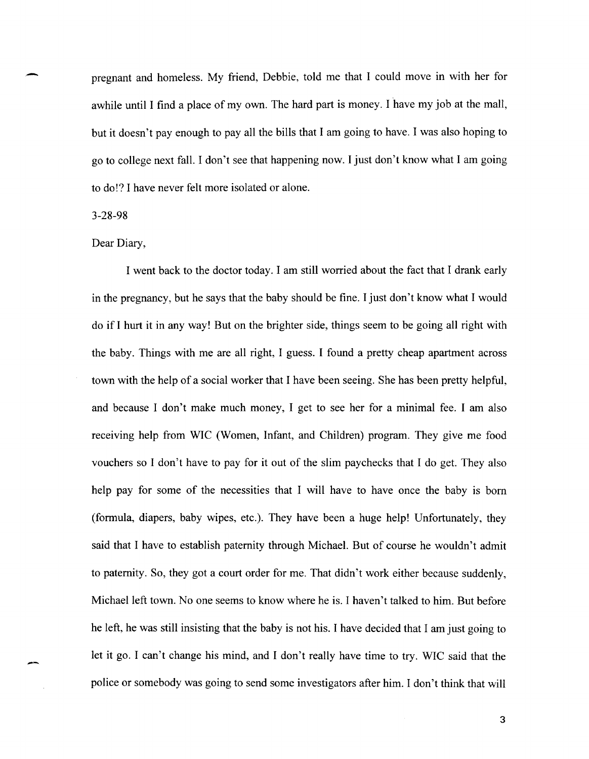pregnant and homeless. My friend, Debbie, told me that I could move in with her for awhile until I find a place of my own. The hard part is money. I have my job at the mall, but it doesn't pay enough to pay all the bills that I am going to have. I was also hoping to go to college next fall. I don't see that happening now. I just don't know what I am going to do!? I have never felt more isolated or alone.

### 3-28-98

-

## Dear Diary,

I went back to the doctor today. I am still worried about the fact that I drank early in the pregnancy, but he says that the baby should be fine. I just don't know what I would do if I hurt it in any way! But on the brighter side, things seem to be going all right with the baby. Things with me are all right, I guess. I found a pretty cheap apartment across town with the help of a social worker that I have been seeing. She has been pretty helpful, and because I don't make much money, I get to see her for a minimal fee. I am also receiving help from WIC (Women, Infant, and Children) program. They give me food vouchers so I don't have to pay for it out of the slim paychecks that I do get. They also help pay for some of the necessities that I will have to have once the baby is born (formula, diapers, baby wipes, etc.). They have been a huge help! Unfortunately, they said that I have to establish paternity through Michael. But of course he wouldn't admit to paternity. So, they got a court order for me. That didn't work either because suddenly, Michael left town. No one seems to know where he is. I haven't talked to him. But before he left, he was still insisting that the baby is not his. I have decided that I am just going to let it go. I can't change his mind, and I don't really have time to try. WIC said that the police or somebody was going to send some investigators after him. I don't think that will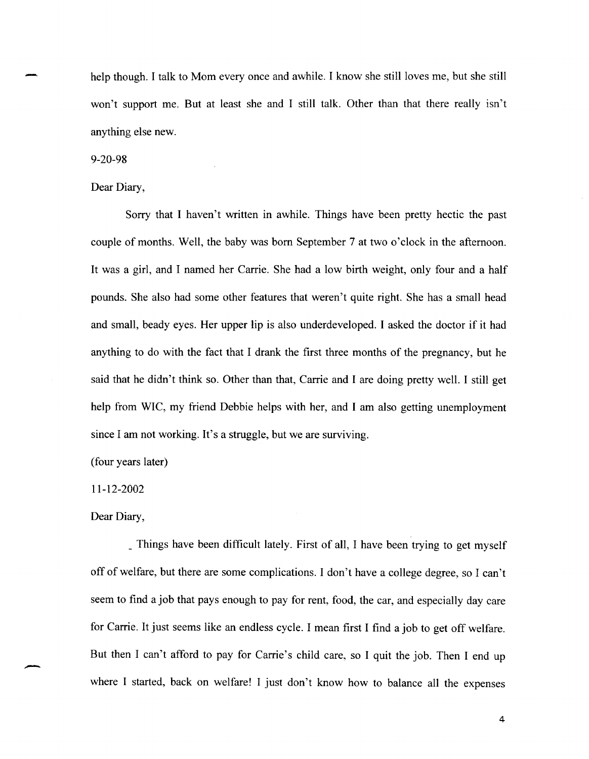help though. I talk to Mom every once and awhile. I know she still loves me, but she still won't support me. But at least she and I still talk. Other than that there really isn't anything else new.

9-20-98

-

Dear Diary,

Sorry that I haven't written in awhile. Things have been pretty hectic the past couple of months. Well, the baby was born September 7 at two o'clock in the afternoon. It was a girl, and I named her Carrie. She had a low birth weight, only four and a half pounds. She also had some other features that weren't quite right. She has a small head and small, beady eyes. Her upper lip is also underdeveloped. I asked the doctor if it had anything to do with the fact that I drank the first three months of the pregnancy, but he said that he didn't think so. Other than that, Carrie and I are doing pretty well. I still get help from WIC, my friend Debbie helps with her, and I am also getting unemployment since I am not working. It's a struggle, but we are surviving.

(four years later)

11-12-2002

Dear Diary,

-

\_ Things have been difficult lately. First of all, I have been trying to get myself off of welfare, but there are some complications. I don't have a college degree, so I can't seem to find a job that pays enough to pay for rent, food, the car, and especially day care for Carrie. It just seems like an endless cycle. I mean first I find a job to get off welfare. But then I can't afford to pay for Carrie's child care, so I quit the job. Then I end up where I started, back on welfare! I just don't know how to balance all the expenses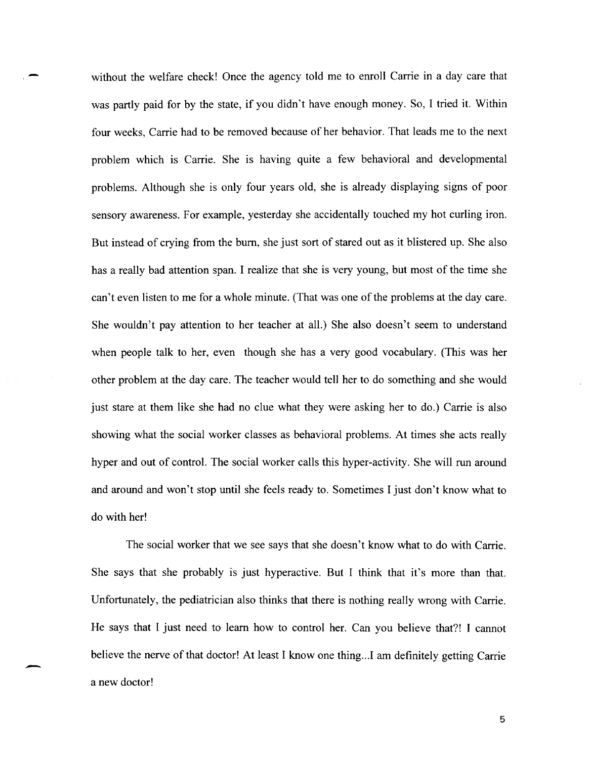without the welfare check! Once the agency told me to enroll Carrie in a day care that was partly paid for by the state, if you didn't have enough money. So, I tried it. Within four weeks, Carrie had to be removed because of her behavior. That leads me to the next problem which is Carrie. She is having quite a few behavioral and developmental problems. Although she is only four years old, she is already displaying signs of poor sensory awareness. For example, yesterday she accidentally touched my hot curling iron. But instead of crying from the bum, she just sort of stared out as it blistered up. She also has a really bad attention span. I realize that she is very young, but most of the time she can't even listen to me for a whole minute. (That was one of the problems at the day care. She wouldn't pay attention to her teacher at all.) She also doesn't seem to understand when people talk to her, even though she has a very good vocabulary. (This was her other problem at the day care. The teacher would tell her to do something and she would just stare at them like she had no clue what they were asking her to do.) Carrie is also showing what the social worker classes as behavioral problems. At times she acts really hyper and out of control. The social worker calls this hyper-activity. She will run around and around and won't stop until she feels ready to. Sometimes I just don't know what to do with her!

The social worker that we see says that she doesn't know what to do with Carrie. She says that she probably is just hyperactive. But I think that it's more than that. Unfortunately, the pediatrician also thinks that there is nothing really wrong with Carrie. He says that I just need to learn how to control her. Can you believe that?! I cannot believe the nerve of that doctor! At least I know one thing...I am definitely getting Carrie a new doctor!

-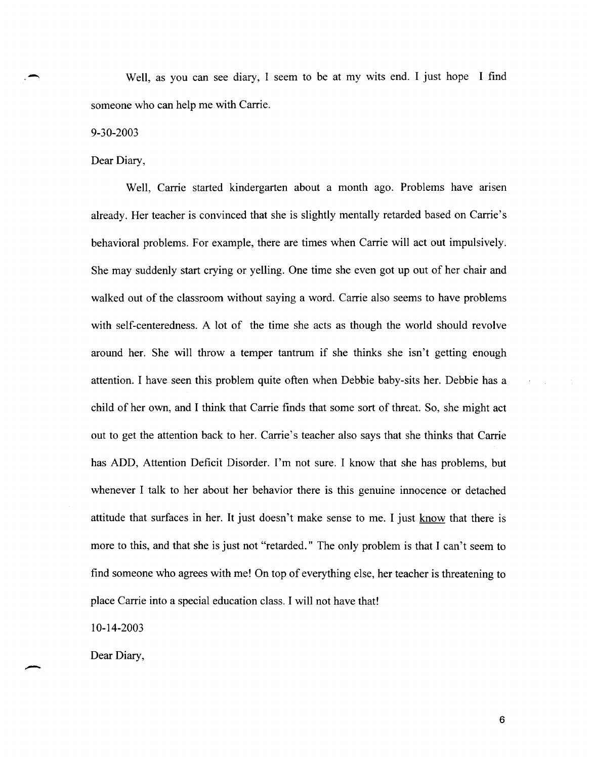Well, as you can see diary, I seem to be at my wits end. I just hope I find someone who can help me with Carrie.

9-30-2003

 $\overline{\phantom{a}}$ 

Dear Diary,

Well, Carrie started kindergarten about a month ago. Problems have arisen already. Her teacher is convinced that she is slightly mentally retarded based on Carrie's behavioral problems. For example, there are times when Carrie will act out impulsively. She may suddenly start crying or yelling. One time she even got up out of her chair and walked out of the classroom without saying a word. Carrie also seems to have problems with self-centeredness. A lot of the time she acts as though the world should revolve around her. She will throw a temper tantrum if she thinks she isn't getting enough attention. I have seen this problem quite often when Debbie baby-sits her. Debbie has a child of her own, and I think that Carrie finds that some sort of threat. So, she might act out to get the attention back to her. Carrie's teacher also says that she thinks that Carrie has ADD, Attention Deficit Disorder. I'm not sure. I know that she has problems, but whenever I talk to her about her behavior there is this genuine innocence or detached attitude that surfaces in her. It just doesn't make sense to me. I just know that there is more to this, and that she is just not "retarded." The only problem is that J can't seem to find someone who agrees with me! On top of everything else, her teacher is threatening to place Carrie into a special education class. I will not have that!

10-14-2003

Dear Diary,

-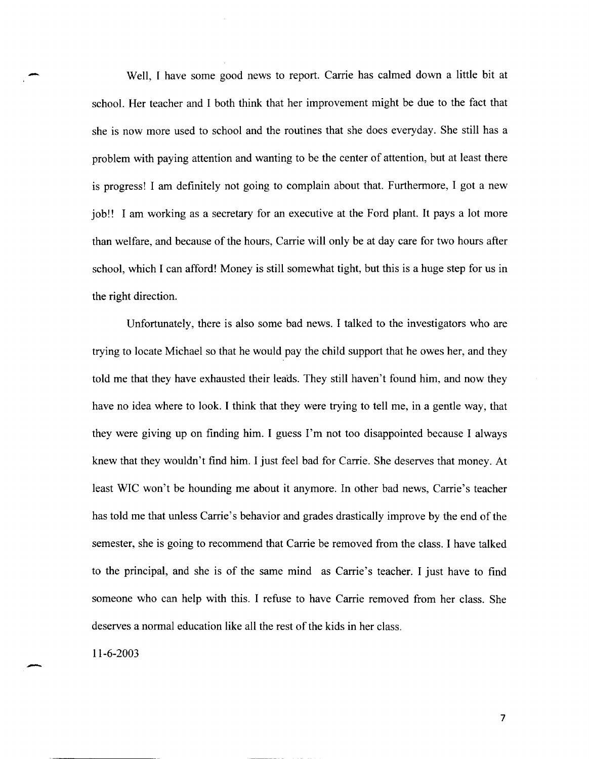Well, I have some good news to report. Carrie has calmed down a little bit at school. Her teacher and I both think that her improvement might be due to the fact that she is now more used to school and the routines that she does everyday. She still has a problem with paying attention and wanting to be the center of attention, but at least there is progress! I am definitely not going to complain about that. Furthermore, I got a new job!! I am working as a secretary for an executive at the Ford plant. It pays a lot more than welfare, and because of the hours, Carrie will only be at day care for two hours after school, which I can afford! Money is still somewhat tight, but this is a huge step for us in the right direction.

Unfortunately, there is also some bad news. I talked to the investigators who are trying to locate Michael so that he would pay the child support that he owes her, and they told me that they have exhausted their leads. They still haven't found him, and now they have no idea where to look. I think that they were trying to tell me, in a gentle way, that they were giving up on finding him. I guess I'm not too disappointed because I always knew that they wouldn't find him. I just feel bad for Carrie. She deserves that money. At least WIC won't be hounding me about it anymore. In other bad news, Carrie's teacher has told me that unless Carrie's behavior and grades drastically improve by the end of the semester, she is going to recommend that Carrie be removed from the class. I have talked to the principal, and she is of the same mind as Carrie's teacher. I just have to find someone who can help with this. I refuse to have Carrie removed from her class. She deserves a normal education like all the rest of the kids in her class.

11-6-2003

-

-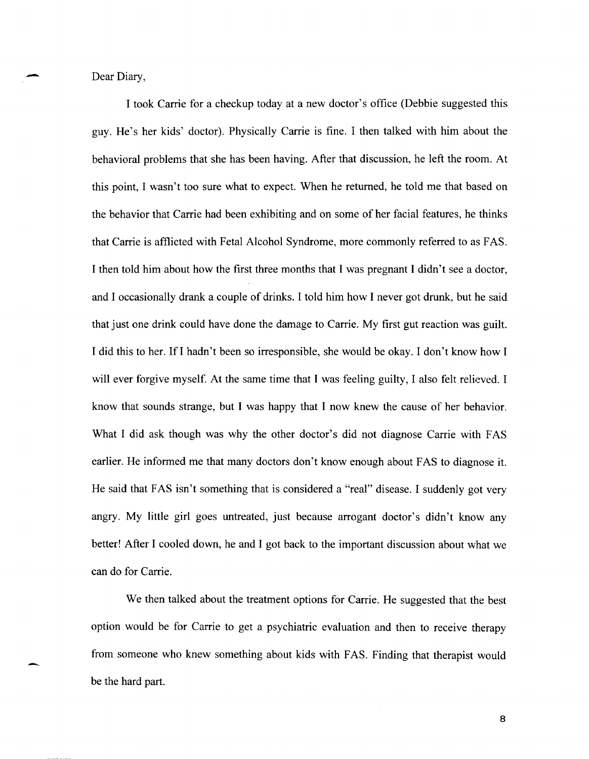Dear Diary,

I took Carrie for a checkup today at a new doctor's office (Debbie suggested this guy. He's her kids' doctor). Physically Carrie is fine. I then talked with him about the behavioral problems that she has been having. After that discussion, he left the room. At this point, I wasn't too sure what to expect. When he returned, he told me that based on the behavior that Carrie had been exhibiting and on some of her facial features, he thinks that Carrie is afflicted with Fetal Alcohol Syndrome, more commonly referred to as FAS. I then told him about how the first three months that I was pregnant I didn't see a doctor, and I occasionally drank a couple of drinks. I told him how I never got drunk, but he said that just one drink could have done the damage to Carrie. My first gut reaction was guilt. I did this to her. Ifl hadn't been so irresponsible, she would be okay. I don't know how I will ever forgive myself. At the same time that I was feeling guilty, I also felt relieved. I know that sounds strange, but I was happy that I now knew the cause of her behavior. What I did ask though was why the other doctor's did not diagnose Carrie with FAS earlier. He informed me that many doctors don't know enough about FAS to diagnose it. He said that FAS isn't something that is considered a "real" disease. I suddenly got very angry. My little girl goes untreated, just because arrogant doctor's didn't know any better! After I cooled down, he and I got back to the important discussion about what we can do for Carrie.

We then talked about the treatment options for Carrie. He suggested that the best option would be for Carrie to get a psychiatric evaluation and then to receive therapy from someone who knew something about kids with FAS. Finding that therapist would be the hard part.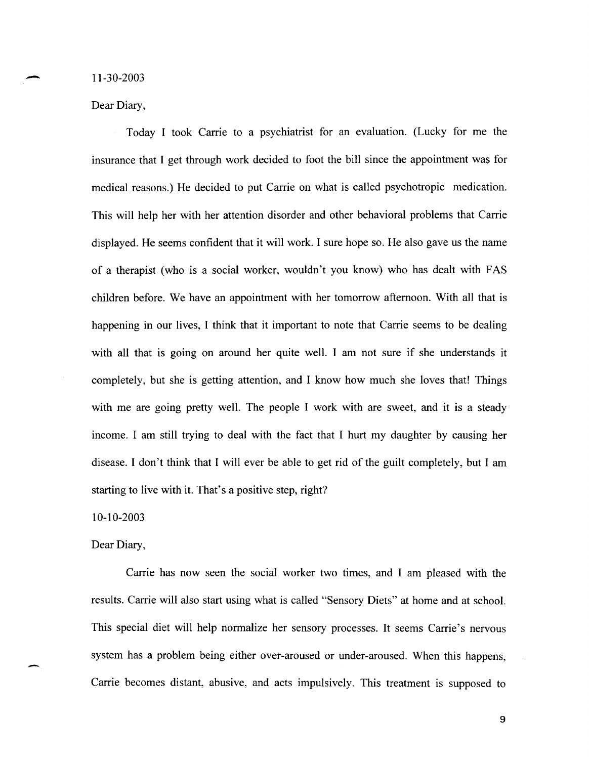11-30-2003

-

Dear Diary,

Today I took Carrie to a psychiatrist for an evaluation. (Lucky for me the insurance that I get through work decided to foot the bill since the appointment was for medical reasons.) He decided to put Carrie on what is called psychotropic medication. This will help her with her attention disorder and other behavioral problems that Carrie displayed. He seems confident that it will work. I sure hope so. He also gave us the name of a therapist (who is a social worker, wouldn't you know) who has dealt with F AS children before. We have an appointment with her tomorrow afternoon. With all that is happening in our lives, I think that it important to note that Carrie seems to be dealing with all that is going on around her quite well. I am not sure if she understands it completely, but she is getting attention, and I know how much she loves that! Things with me are going pretty well. The people I work with are sweet, and it is a steady income. I am still trying to deal with the fact that I hurt my daughter by causing her disease. I don't think that I will ever be able to get rid of the guilt completely, but I am starting to live with it. That's a positive step, right?

10-10-2003

Dear Diary,

-

Carrie has now seen the social worker two times, and I am pleased with the results. Carrie will also start using what is called "Sensory Diets" at home and at school. This special diet will help normalize her sensory processes. It seems Carrie's nervous system has a problem being either over-aroused or under-aroused. When this happens, Carrie becomes distant, abusive, and acts impulsively. This treatment is supposed to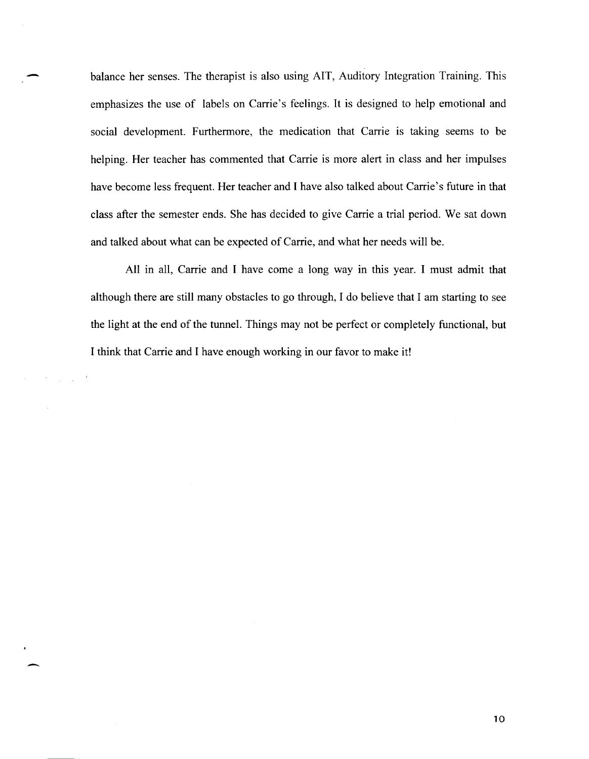balance her senses. The therapist is also using AIT, Auditory Integration Training. This emphasizes the use of labels on Carrie's feelings. It is designed to help emotional and social development. Furthermore, the medication that Carrie is taking seems to be helping. Her teacher has commented that Carrie is more alert in class and her impulses have become less frequent. Her teacher and I have also talked about Carrie's future in that class after the semester ends. She has decided to give Carrie a trial period. We sat down and talked about what can be expected of Carrie, and what her needs will be.

All in all, Carrie and I have come a long way in this year. I must admit that although there are still many obstacles to go through, I do believe that I am starting to see the light at the end of the tunnel. Things may not be perfect or completely functional, but I think that Carrie and I have enough working in our favor to make it!

-

 $\alpha$  , and  $\alpha$  , and  $\alpha$  , and  $\alpha$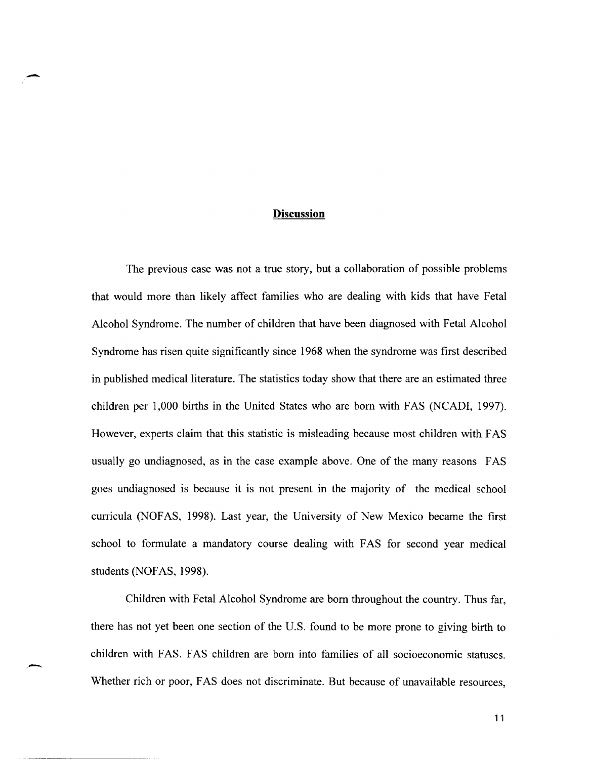## **Discussion**

-

-

The previous case was not a true story, but a collaboration of possible problems that would more than likely affect families who are dealing with kids that have Fetal Alcohol Syndrome. The number of children that have been diagnosed with Fetal Alcohol Syndrome has risen quite significantly since 1968 when the syndrome was first described in published medical literature. The statistics today show that there are an estimated three children per 1,000 births in the United States who are born with FAS (NCADI, 1997). However, experts claim that this statistic is misleading because most children with F AS usually go undiagnosed, as in the case example above. One of the many reasons FAS goes undiagnosed is because it is not present in the majority of the medical school curricula (NOF AS, 1998). Last year, the University of New Mexico became the first school to formulate a mandatory course dealing with FAS for second year medical students (NOFAS, 1998).

Children with Fetal Alcohol Syndrome are born throughout the country. Thus far, there has not yet been one section of the U.S. found to be more prone to giving birth to children with FAS. FAS children are born into families of all socioeconomic statuses. Whether rich or poor, FAS does not discriminate. But because of unavailable resources,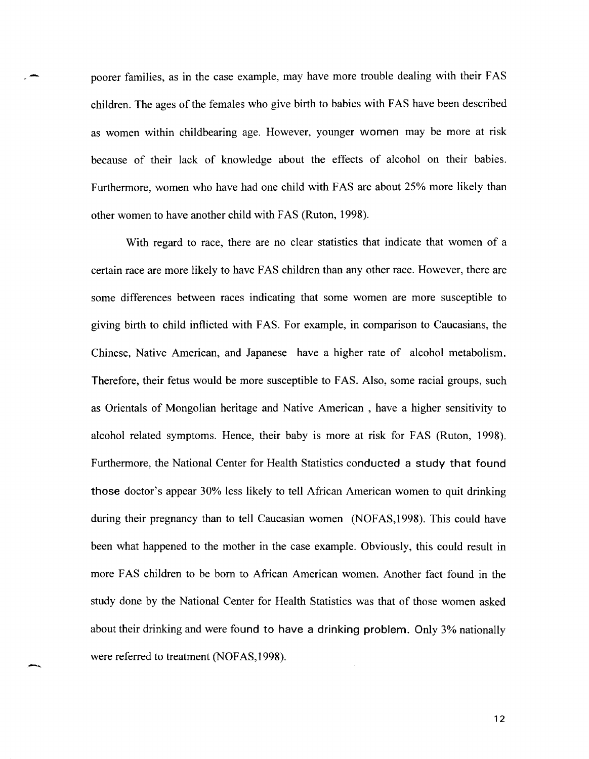poorer families, as in the case example, may have more trouble dealing with their FAS children. The ages of the females who give birth to babies with F AS have been described as women within childbearing age. However, younger women may be more at risk because of their lack of knowledge about the effects of alcohol on their babies. Furthermore, women who have had one child with FAS are about 25% more likely than other women to have another child with F AS (Ruton, 1998).

With regard to race, there are no clear statistics that indicate that women of a certain race are more likely to have FAS children than any other race. However, there are some differences between races indicating that some women are more susceptible to giving birth to child inflicted with F AS. For example, in comparison to Caucasians, the Chinese, Native American, and Japanese have a higher rate of alcohol metabolism. Therefore, their fetus would be more susceptible to FAS. Also, some racial groups, such as Orientals of Mongolian heritage and Native American, have a higher sensitivity to alcohol related symptoms. Hence, their baby is more at risk for F AS (Ruton, 1998). Furthermore, the National Center for Health Statistics conducted a study that found those doctor's appear 30% less likely to tell African American women to quit drinking during their pregnancy than to tell Caucasian women (NOFAS, 1998). This could have been what happened to the mother in the case example. Obviously, this could result in more FAS children to be born to African American women. Another fact found in the study done by the National Center for Health Statistics was that of those women asked about their drinking and were found to have a drinking problem. Only 3% nationally were referred to treatment (NOFAS, 1998).

---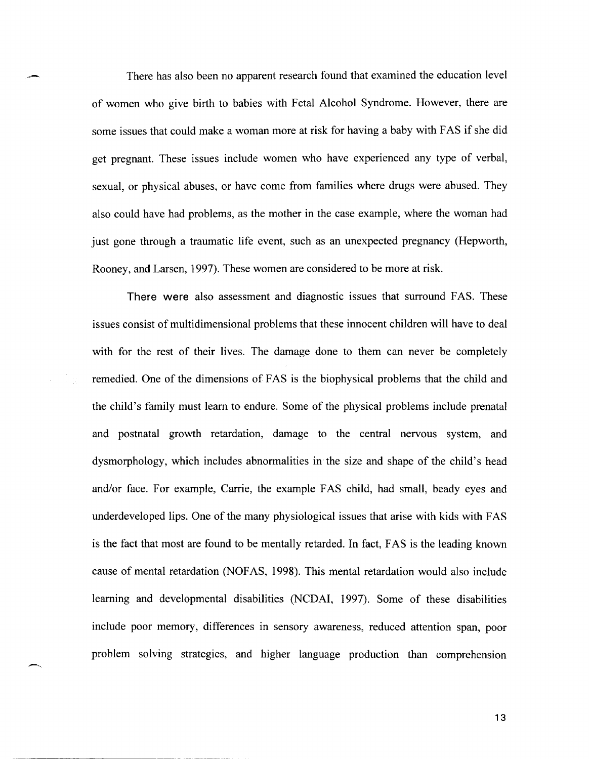There has also been no apparent research found that examined the education level of women who give birth to babies with Fetal Alcohol Syndrome. However, there are some issues that could make a woman more at risk for having a baby with F AS if she did get pregnant. These issues include women who have experienced any type of verbal, sexual, or physical abuses, or have come from families where drugs were abused. They also could have had problems, as the mother in the case example, where the woman had just gone through a traumatic life event, such as an unexpected pregnancy (Hepworth, Rooney, and Larsen, 1997). These women are considered to be more at risk.

There were also assessment and diagnostic issues that surround FAS. These issues consist of multidimensional problems that these innocent children will have to deal with for the rest of their lives. The damage done to them can never be completely remedied. One of the dimensions of FAS is the biophysical problems that the child and the child's family must learn to endure. Some of the physical problems include prenatal and postnatal growth retardation, damage to the central nervous system, and dysmorphology, which includes abnormalities in the size and shape of the child's head and/or face. For example, Carrie, the example FAS child, had small, beady eyes and underdeveloped lips. One of the many physiological issues that arise with kids with F AS is the fact that most are found to be mentally retarded. In fact, FAS is the leading known cause of mental retardation (NOF AS, 1998). This mental retardation would also include learning and developmental disabilities (NCDAI, 1997). Some of these disabilities include poor memory, differences in sensory awareness, reduced attention span, poor problem solving strategies, and higher language production than comprehension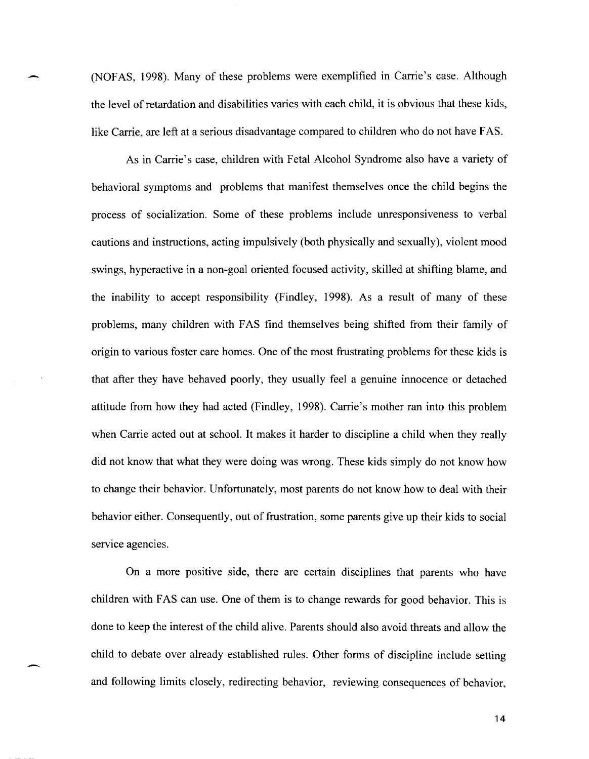(NOFAS, 1998). Many of these problems were exemplified in Carrie's case. Although the level of retardation and disabilities varies with each child, it is obvious that these kids, like Carrie, are left at a serious disadvantage compared to children who do not have FAS.

As in Carrie's case, children with Fetal Alcohol Syndrome also have a variety of behavioral symptoms and problems that manifest themselves once the child begins the process of socialization. Some of these problems include unresponsiveness to verbal cautions and instructions, acting impulsively (both physically and sexually), violent mood swings, hyperactive in a non-goal oriented focused activity, skilled at shifting blame, and the inability to accept responsibility (Findley, 1998). As a result of many of these problems, many children with F AS find themselves being shifted from their family of origin to various foster care homes. One of the most frustrating problems for these kids is that after they have behaved poorly, they usually feel a genuine innocence or detached attitude from how they had acted (Findley, 1998). Carrie's mother ran into this problem when Carrie acted out at school. It makes it harder to discipline a child when they really did not know that what they were doing was wrong. These kids simply do not know how to change their behavior. Unfortunately, most parents do not know how to deal with their behavior either. Consequently, out of frustration, some parents give up their kids to social service agencies.

On a more positive side, there are certain disciplines that parents who have children with FAS can use. One of them is to change rewards for good behavior. This is done to keep the interest of the child alive. Parents should also avoid threats and allow the child to debate over already established rules. Other forms of discipline include setting and following limits closely, redirecting behavior, reviewing consequences of behavior,

------- ------~"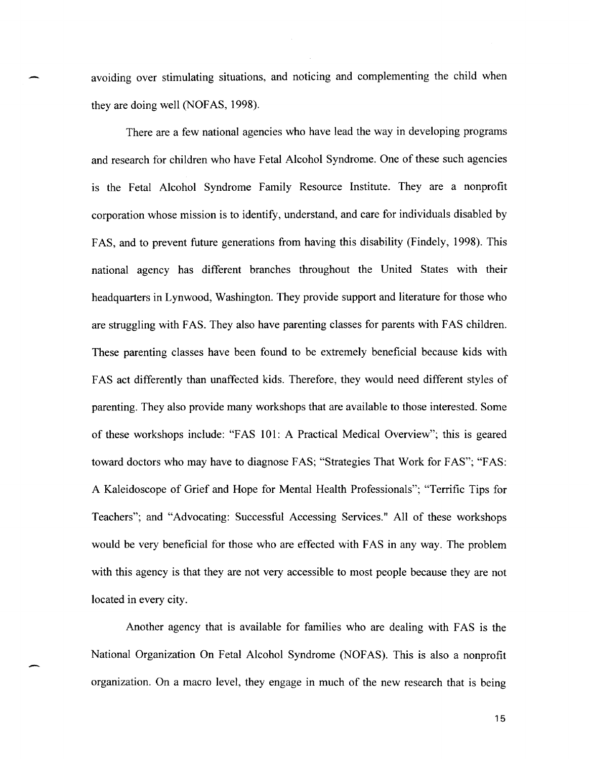avoiding over stimulating situations, and noticing and complementing the child when they are doing well (NOFAS, 1998).

There are a few national agencies who have lead the way in developing programs and research for children who have Fetal Alcohol Syndrome. One of these such agencies is the Fetal Alcohol Syndrome Family Resource Institute. They are a nonprofit corporation whose mission is to identify, understand, and care for individuals disabled by FAS, and to prevent future generations from having this disability (Findely, 1998). This national agency has different branches throughout the United States with their headquarters in Lynwood, Washington. They provide support and literature for those who are struggling with FAS. They also have parenting classes for parents with FAS children. These parenting classes have been found to be extremely beneficial because kids with FAS act differently than unaffected kids. Therefore, they would need different styles of parenting. They also provide many workshops that are available to those interested. Some of these workshops include: "FAS 101: A Practical Medical Overview"; this is geared toward doctors who may have to diagnose FAS; "Strategies That Work for FAS"; "FAS: A Kaleidoscope of Grief and Hope for Mental Health Professionals"; "Terrific Tips for Teachers"; and "Advocating: Successful Accessing Services." All of these workshops would be very beneficial for those who are effected with FAS in any way. The problem with this agency is that they are not very accessible to most people because they are not located in every city.

Another agency that is available for families who are dealing with FAS is the National Organization On Fetal Alcohol Syndrome (NOFAS). This is also a nonprofit organization. On a macro level, they engage in much of the new research that is being

-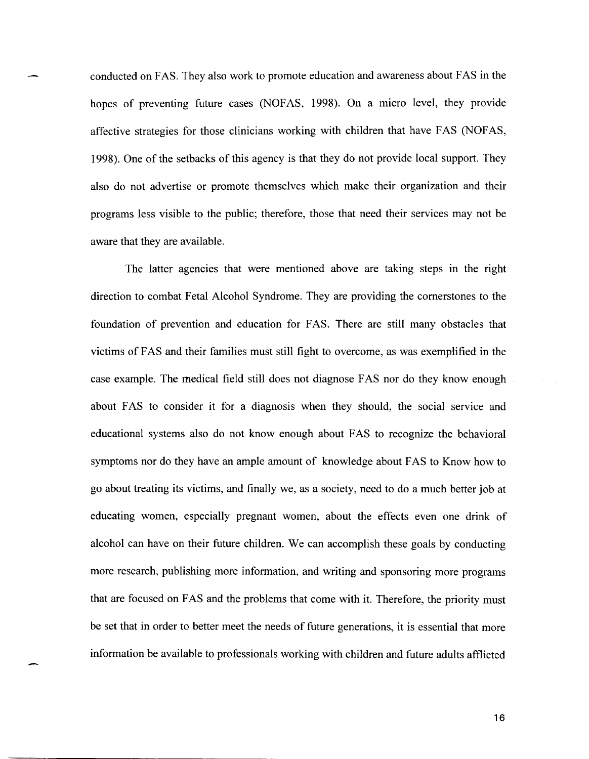conducted on F AS. They also work to promote education and awareness about F AS in the hopes of preventing future cases (NOFAS, 1998). On a micro level, they provide affective strategies for those clinicians working with children that have FAS (NOFAS, 1998). One of the setbacks of this agency is that they do not provide local support. They also do not advertise or promote themselves which make their organization and their programs less visible to the public; therefore, those that need their services may not be aware that they are available.

The latter agencies that were mentioned above are taking steps in the right direction to combat Fetal Alcohol Syndrome. They are providing the cornerstones to the foundation of prevention and education for FAS. There are still many obstacles that victims of FAS and their families must still fight to overcome, as was exemplified in the case example. The medical field still does not diagnose F AS nor do they know enough about FAS to consider it for a diagnosis when they should, the social service and educational systems also do not know enough about FAS to recognize the behavioral symptoms nor do they have an ample amount of knowledge about FAS to Know how to go about treating its victims, and finally we, as a society, need to do a much better job at educating women, especially pregnant women, about the effects even one drink of alcohol can have on their future children. We can accomplish these goals by conducting more research, publishing more information, and writing and sponsoring more programs that are focused on FAS and the problems that come with it. Therefore, the priority must be set that in order to better meet the needs of future generations, it is essential that more information be available to professionals working with children and future adults afflicted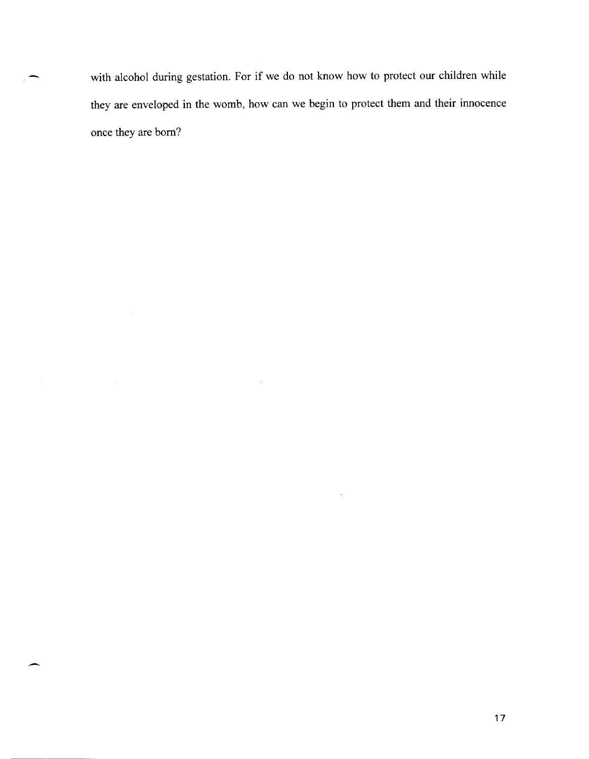with alcohol during gestation. For if we do not know how to protect our children while they are enveloped in the womb, how can we begin to protect them and their innocence once they are born?

 $\ddot{\phantom{1}}$ 

-

-